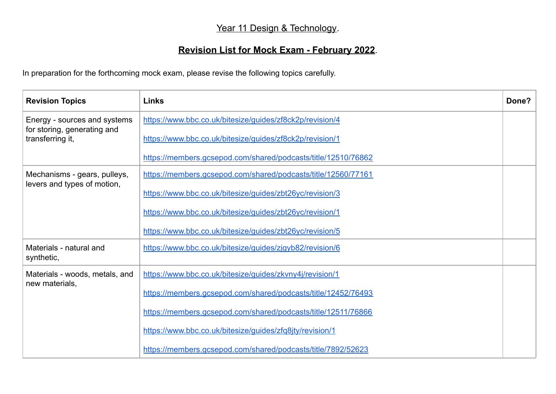## Year 11 Design & Technology.

## **Revision List for Mock Exam - February 2022**.

In preparation for the forthcoming mock exam, please revise the following topics carefully.

| <b>Revision Topics</b>                                                          | <b>Links</b>                                                  | Done? |
|---------------------------------------------------------------------------------|---------------------------------------------------------------|-------|
| Energy - sources and systems<br>for storing, generating and<br>transferring it, | https://www.bbc.co.uk/bitesize/guides/zf8ck2p/revision/4      |       |
|                                                                                 | https://www.bbc.co.uk/bitesize/quides/zf8ck2p/revision/1      |       |
|                                                                                 | https://members.gcsepod.com/shared/podcasts/title/12510/76862 |       |
| Mechanisms - gears, pulleys,<br>levers and types of motion,                     | https://members.gcsepod.com/shared/podcasts/title/12560/77161 |       |
|                                                                                 | https://www.bbc.co.uk/bitesize/guides/zbt26yc/revision/3      |       |
|                                                                                 | https://www.bbc.co.uk/bitesize/quides/zbt26yc/revision/1      |       |
|                                                                                 | https://www.bbc.co.uk/bitesize/guides/zbt26yc/revision/5      |       |
| Materials - natural and<br>synthetic,                                           | https://www.bbc.co.uk/bitesize/quides/zjqyb82/revision/6      |       |
| Materials - woods, metals, and<br>new materials,                                | https://www.bbc.co.uk/bitesize/guides/zkvny4j/revision/1      |       |
|                                                                                 | https://members.gcsepod.com/shared/podcasts/title/12452/76493 |       |
|                                                                                 | https://members.gcsepod.com/shared/podcasts/title/12511/76866 |       |
|                                                                                 | https://www.bbc.co.uk/bitesize/quides/zfq8jty/revision/1      |       |
|                                                                                 | https://members.gcsepod.com/shared/podcasts/title/7892/52623  |       |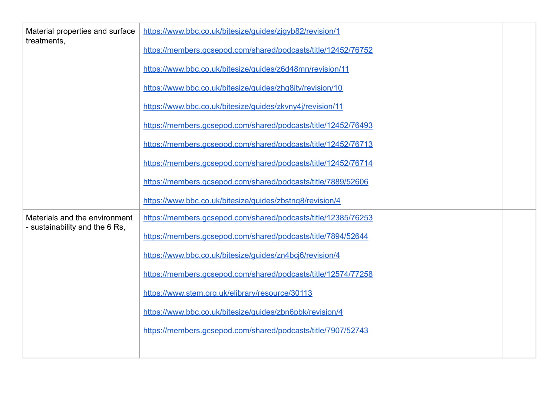| Material properties and surface<br>treatments,                  | https://www.bbc.co.uk/bitesize/guides/zjqyb82/revision/1      |  |
|-----------------------------------------------------------------|---------------------------------------------------------------|--|
|                                                                 | https://members.gcsepod.com/shared/podcasts/title/12452/76752 |  |
|                                                                 | https://www.bbc.co.uk/bitesize/quides/z6d48mn/revision/11     |  |
|                                                                 | https://www.bbc.co.uk/bitesize/guides/zhq8jty/revision/10     |  |
|                                                                 | https://www.bbc.co.uk/bitesize/guides/zkvny4j/revision/11     |  |
|                                                                 | https://members.gcsepod.com/shared/podcasts/title/12452/76493 |  |
|                                                                 | https://members.gcsepod.com/shared/podcasts/title/12452/76713 |  |
|                                                                 | https://members.gcsepod.com/shared/podcasts/title/12452/76714 |  |
|                                                                 | https://members.gcsepod.com/shared/podcasts/title/7889/52606  |  |
|                                                                 | https://www.bbc.co.uk/bitesize/guides/zbstng8/revision/4      |  |
| Materials and the environment<br>- sustainability and the 6 Rs, | https://members.gcsepod.com/shared/podcasts/title/12385/76253 |  |
|                                                                 | https://members.gcsepod.com/shared/podcasts/title/7894/52644  |  |
|                                                                 | https://www.bbc.co.uk/bitesize/guides/zn4bcj6/revision/4      |  |
|                                                                 | https://members.gcsepod.com/shared/podcasts/title/12574/77258 |  |
|                                                                 | https://www.stem.org.uk/elibrary/resource/30113               |  |
|                                                                 | https://www.bbc.co.uk/bitesize/guides/zbn6pbk/revision/4      |  |
|                                                                 | https://members.gcsepod.com/shared/podcasts/title/7907/52743  |  |
|                                                                 |                                                               |  |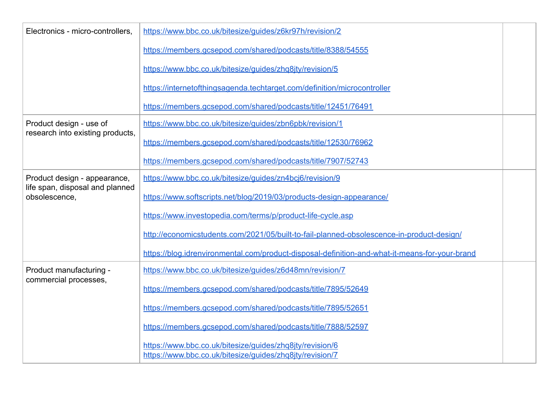| Electronics - micro-controllers,                                                 | https://www.bbc.co.uk/bitesize/quides/z6kr97h/revision/2                                                             |  |
|----------------------------------------------------------------------------------|----------------------------------------------------------------------------------------------------------------------|--|
|                                                                                  | https://members.gcsepod.com/shared/podcasts/title/8388/54555                                                         |  |
|                                                                                  | https://www.bbc.co.uk/bitesize/quides/zhq8ity/revision/5                                                             |  |
|                                                                                  | https://internetofthingsagenda.techtarget.com/definition/microcontroller                                             |  |
|                                                                                  | https://members.gcsepod.com/shared/podcasts/title/12451/76491                                                        |  |
| Product design - use of<br>research into existing products,                      | https://www.bbc.co.uk/bitesize/guides/zbn6pbk/revision/1                                                             |  |
|                                                                                  | https://members.gcsepod.com/shared/podcasts/title/12530/76962                                                        |  |
|                                                                                  | https://members.gcsepod.com/shared/podcasts/title/7907/52743                                                         |  |
| Product design - appearance,<br>life span, disposal and planned<br>obsolescence, | https://www.bbc.co.uk/bitesize/quides/zn4bcj6/revision/9                                                             |  |
|                                                                                  | https://www.softscripts.net/blog/2019/03/products-design-appearance/                                                 |  |
|                                                                                  | https://www.investopedia.com/terms/p/product-life-cycle.asp                                                          |  |
|                                                                                  | http://economicstudents.com/2021/05/built-to-fail-planned-obsolescence-in-product-design/                            |  |
|                                                                                  | https://blog.idrenvironmental.com/product-disposal-definition-and-what-it-means-for-your-brand                       |  |
| Product manufacturing -<br>commercial processes,                                 | https://www.bbc.co.uk/bitesize/guides/z6d48mn/revision/7                                                             |  |
|                                                                                  | https://members.gcsepod.com/shared/podcasts/title/7895/52649                                                         |  |
|                                                                                  | https://members.gcsepod.com/shared/podcasts/title/7895/52651                                                         |  |
|                                                                                  | https://members.gcsepod.com/shared/podcasts/title/7888/52597                                                         |  |
|                                                                                  | https://www.bbc.co.uk/bitesize/guides/zhq8jty/revision/6<br>https://www.bbc.co.uk/bitesize/guides/zhq8jty/revision/7 |  |